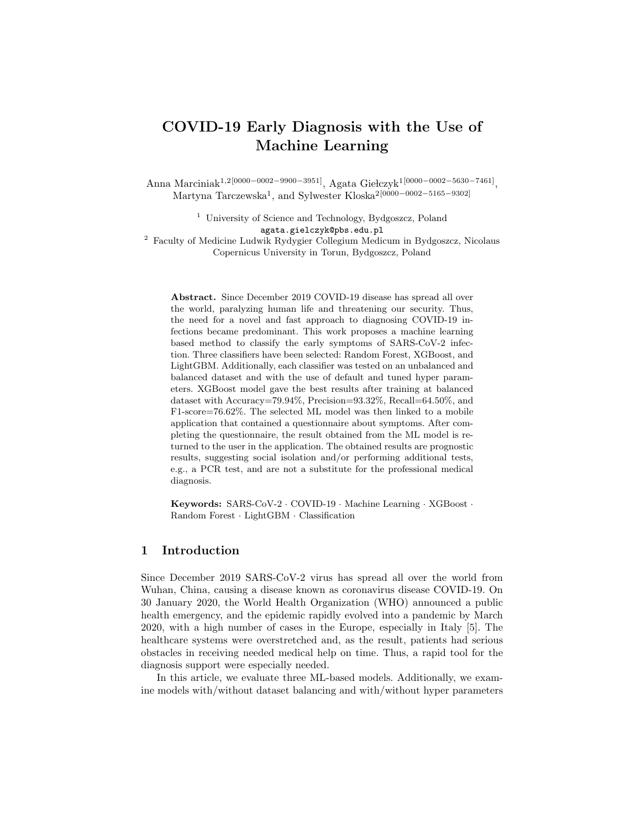# COVID-19 Early Diagnosis with the Use of Machine Learning

Anna Marciniak<sup>1,2</sup>[0000−0002−9900−3951], Agata Giełczyk<sup>1</sup>[0000−0002−5630−7461], Martyna Tarczewska<sup>1</sup>, and Sylwester Kloska<sup>2</sup>[0000−0002−5165−9302]

> <sup>1</sup> University of Science and Technology, Bydgoszcz, Poland agata.gielczyk@pbs.edu.pl

<sup>2</sup> Faculty of Medicine Ludwik Rydygier Collegium Medicum in Bydgoszcz, Nicolaus Copernicus University in Torun, Bydgoszcz, Poland

Abstract. Since December 2019 COVID-19 disease has spread all over the world, paralyzing human life and threatening our security. Thus, the need for a novel and fast approach to diagnosing COVID-19 infections became predominant. This work proposes a machine learning based method to classify the early symptoms of SARS-CoV-2 infection. Three classifiers have been selected: Random Forest, XGBoost, and LightGBM. Additionally, each classifier was tested on an unbalanced and balanced dataset and with the use of default and tuned hyper parameters. XGBoost model gave the best results after training at balanced dataset with Accuracy=79.94%, Precision=93.32%, Recall=64.50%, and F1-score=76.62%. The selected ML model was then linked to a mobile application that contained a questionnaire about symptoms. After completing the questionnaire, the result obtained from the ML model is returned to the user in the application. The obtained results are prognostic results, suggesting social isolation and/or performing additional tests, e.g., a PCR test, and are not a substitute for the professional medical diagnosis.

Keywords: SARS-CoV-2 · COVID-19 · Machine Learning · XGBoost · Random Forest · LightGBM · Classification

# 1 Introduction

Since December 2019 SARS-CoV-2 virus has spread all over the world from Wuhan, China, causing a disease known as coronavirus disease COVID-19. On 30 January 2020, the World Health Organization (WHO) announced a public health emergency, and the epidemic rapidly evolved into a pandemic by March 2020, with a high number of cases in the Europe, especially in Italy [5]. The healthcare systems were overstretched and, as the result, patients had serious obstacles in receiving needed medical help on time. Thus, a rapid tool for the diagnosis support were especially needed.

In this article, we evaluate three ML-based models. Additionally, we examine models with/without dataset balancing and with/without hyper parameters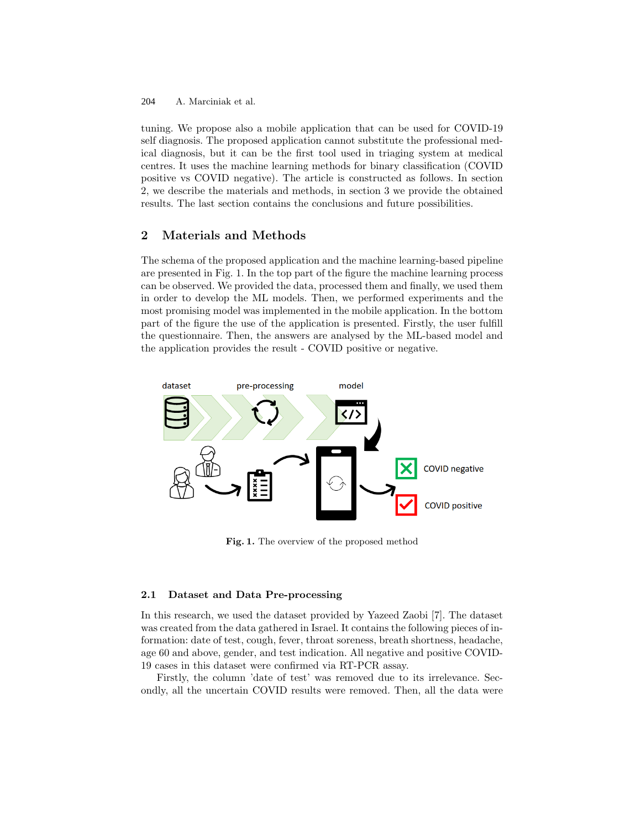A. Marciniak et al. 204

tuning. We propose also a mobile application that can be used for COVID-19 self diagnosis. The proposed application cannot substitute the professional medical diagnosis, but it can be the first tool used in triaging system at medical centres. It uses the machine learning methods for binary classification (COVID positive vs COVID negative). The article is constructed as follows. In section 2, we describe the materials and methods, in section 3 we provide the obtained results. The last section contains the conclusions and future possibilities.

# 2 Materials and Methods

The schema of the proposed application and the machine learning-based pipeline are presented in Fig. 1. In the top part of the figure the machine learning process can be observed. We provided the data, processed them and finally, we used them in order to develop the ML models. Then, we performed experiments and the most promising model was implemented in the mobile application. In the bottom part of the figure the use of the application is presented. Firstly, the user fulfill the questionnaire. Then, the answers are analysed by the ML-based model and the application provides the result - COVID positive or negative.



Fig. 1. The overview of the proposed method

#### 2.1 Dataset and Data Pre-processing

In this research, we used the dataset provided by Yazeed Zaobi [7]. The dataset was created from the data gathered in Israel. It contains the following pieces of information: date of test, cough, fever, throat soreness, breath shortness, headache, age 60 and above, gender, and test indication. All negative and positive COVID-19 cases in this dataset were confirmed via RT-PCR assay.

Firstly, the column 'date of test' was removed due to its irrelevance. Secondly, all the uncertain COVID results were removed. Then, all the data were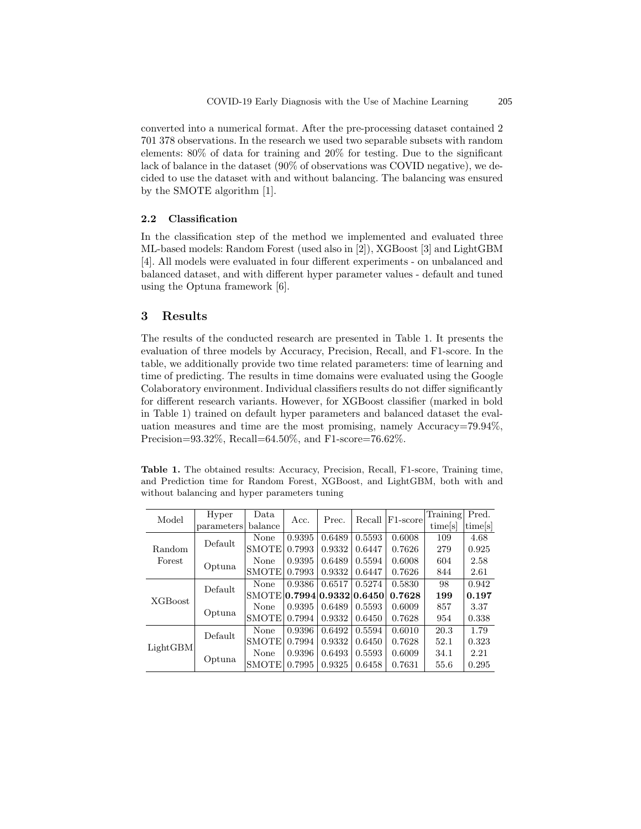converted into a numerical format. After the pre-processing dataset contained 2 701 378 observations. In the research we used two separable subsets with random elements: 80% of data for training and 20% for testing. Due to the significant lack of balance in the dataset (90% of observations was COVID negative), we decided to use the dataset with and without balancing. The balancing was ensured by the SMOTE algorithm [1].

#### 2.2 Classification

In the classification step of the method we implemented and evaluated three ML-based models: Random Forest (used also in [2]), XGBoost [3] and LightGBM [4]. All models were evaluated in four different experiments - on unbalanced and balanced dataset, and with different hyper parameter values - default and tuned using the Optuna framework [6].

# 3 Results

The results of the conducted research are presented in Table 1. It presents the evaluation of three models by Accuracy, Precision, Recall, and F1-score. In the table, we additionally provide two time related parameters: time of learning and time of predicting. The results in time domains were evaluated using the Google Colaboratory environment. Individual classifiers results do not differ significantly for different research variants. However, for XGBoost classifier (marked in bold in Table 1) trained on default hyper parameters and balanced dataset the evaluation measures and time are the most promising, namely Accuracy=79.94%, Precision=93.32%, Recall=64.50%, and F1-score=76.62%.

Table 1. The obtained results: Accuracy, Precision, Recall, F1-score, Training time, and Prediction time for Random Forest, XGBoost, and LightGBM, both with and without balancing and hyper parameters tuning

| Model            | Hyper      | Data         | Acc.   | Prec.                | Recall | F <sub>1</sub> -score | Training | Pred.               |
|------------------|------------|--------------|--------|----------------------|--------|-----------------------|----------|---------------------|
|                  | parameters | balance      |        |                      |        |                       | times    | time <sup>[s]</sup> |
| Random<br>Forest | Default    | None         | 0.9395 | 0.6489               | 0.5593 | 0.6008                | 109      | 4.68                |
|                  |            | <b>SMOTE</b> | 0.7993 | 0.9332               | 0.6447 | 0.7626                | 279      | 0.925               |
|                  | Optuna     | None         | 0.9395 | 0.6489               | 0.5594 | 0.6008                | 604      | 2.58                |
|                  |            | <b>SMOTE</b> | 0.7993 | 0.9332               | 0.6447 | 0.7626                | 844      | 2.61                |
| XGBoost          | Default    | None         | 0.9386 | 0.6517               | 0.5274 | 0.5830                | 98       | 0.942               |
|                  |            | <b>SMOTE</b> |        | 0.7994 0.9332 0.6450 |        | 0.7628                | 199      | 0.197               |
|                  | Optuna     | None         | 0.9395 | 0.6489               | 0.5593 | 0.6009                | 857      | 3.37                |
|                  |            | <b>SMOTE</b> | 0.7994 | 0.9332               | 0.6450 | 0.7628                | 954      | 0.338               |
| LightGBM         | Default    | None         | 0.9396 | 0.6492               | 0.5594 | 0.6010                | 20.3     | 1.79                |
|                  |            | <b>SMOTE</b> | 0.7994 | 0.9332               | 0.6450 | 0.7628                | 52.1     | 0.323               |
|                  | Optuna     | None         | 0.9396 | 0.6493               | 0.5593 | 0.6009                | 34.1     | 2.21                |
|                  |            | <b>SMOTE</b> | 0.7995 | 0.9325               | 0.6458 | 0.7631                | 55.6     | 0.295               |